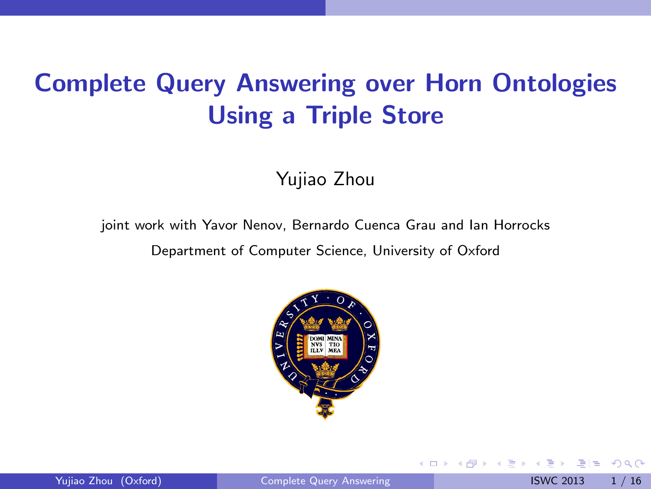## Complete Query Answering over Horn Ontologies Using a Triple Store

Yujiao Zhou

joint work with Yavor Nenov, Bernardo Cuenca Grau and Ian Horrocks

Department of Computer Science, University of Oxford



4 日下

<span id="page-0-0"></span> $E|E$  narr

不重 医牙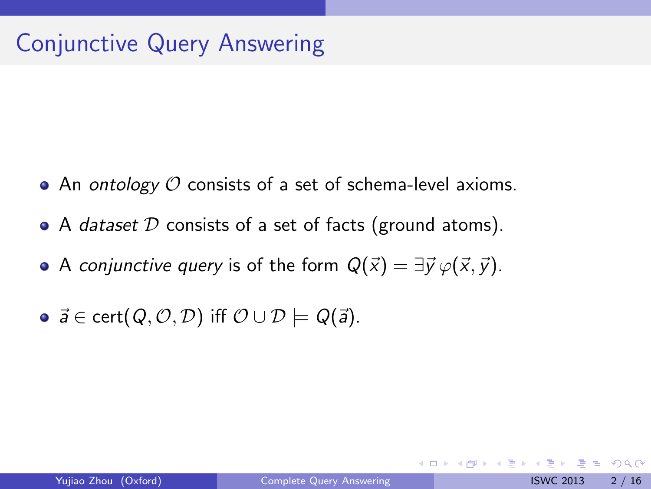### Conjunctive Query Answering

- An ontology  $\mathcal O$  consists of a set of schema-level axioms.
- $\bullet$  A *dataset D* consists of a set of facts (ground atoms).
- A conjunctive query is of the form  $Q(\vec{x}) = \exists \vec{v} \varphi(\vec{x}, \vec{v}).$
- $\vec{a} \in \text{cert}(Q, Q, \mathcal{D})$  iff  $\mathcal{O} \cup \mathcal{D} \models Q(\vec{a})$ .

4 0 8

K 3 X X 3

 $E|E \cap Q$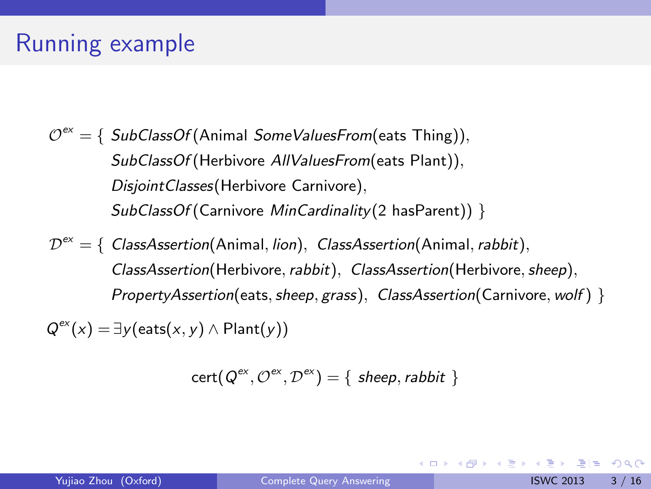### Running example

- $\mathcal{O}^\textsf{ex} = \{$  SubClassOf (Animal SomeValuesFrom(eats Thing)), SubClassOf (Herbivore AllValuesFrom (eats Plant)), DisjointClasses(Herbivore Carnivore), SubClassOf (Carnivore MinCardinality (2 hasParent)) }
- $\mathcal{D}^\text{ex} = \{\text{ } \textit{ClassA} \text{s} \text{section} \text{(Animal, } \textit{lion}\text{)}, \text{ } \textit{ClassA} \text{s} \text{section} \text{(Animal, } \textit{rabbit}\text{)},$ ClassAssertion(Herbivore, rabbit), ClassAssertion(Herbivore, sheep),  $PropertyA$ ssertion(eats, sheep, grass), ClassAssertion(Carnivore, wolf) }

 $Q^{ex}(x) = \exists y$ (eats $(x, y) \wedge$ Plant $(y)$ )

$$
cert(Q^{ex}, \mathcal{O}^{ex}, \mathcal{D}^{ex}) = \{ \text{ sheep}, \text{rabbit } \}
$$

K □ ▶ K 何 ▶ K 글 ▶ K 글 ▶ [글] 는 K) Q (^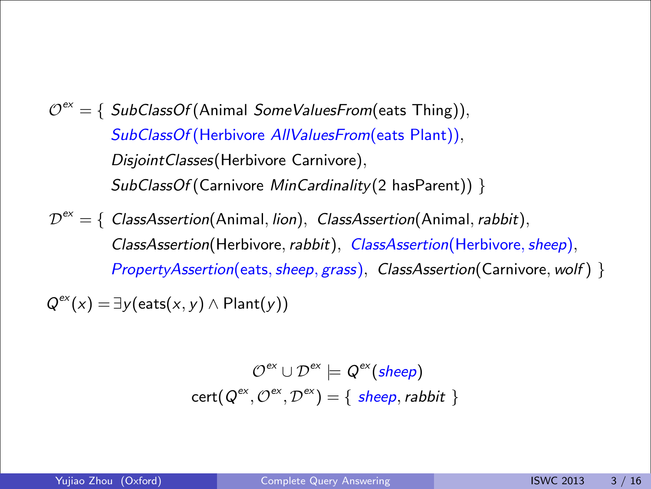- SubClassOf (Herbivore AllValuesFrom(eats Plant)), DisjointClasses(Herbivore Carnivore),  $SubClassOf (Carnivore *MinCardinality*(2 hasParent))$  }  $\mathcal{O}^\textsf{ex} = \{$  SubClassOf (Animal SomeValuesFrom(eats Thing)),
- $\mathcal{D}^{\text{ex}} = \{\text{ } \textit{ClassA} \text{ssertion} \text{(Animal, } \textit{lion}\text{), } \textit{ClassA} \text{ssertion} \text{(Animal, } \textit{rabbit}\text{), }$ ClassAssertion(Herbivore, rabbit), ClassAssertion(Herbivore, sheep),  $PropertyAssertion(eats, sheep, grass), ClassAssertion(Carnivore, wolf)$

$$
Q^{\text{ex}}(x) = \exists y (\text{eats}(x, y) \land \text{Plant}(y))
$$

$$
\mathcal{O}^{ex} \cup \mathcal{D}^{ex} \models Q^{ex}(sheep)
$$

$$
cert(Q^{ex}, \mathcal{O}^{ex}, \mathcal{D}^{ex}) = \{ \ sheep, rabbit \}
$$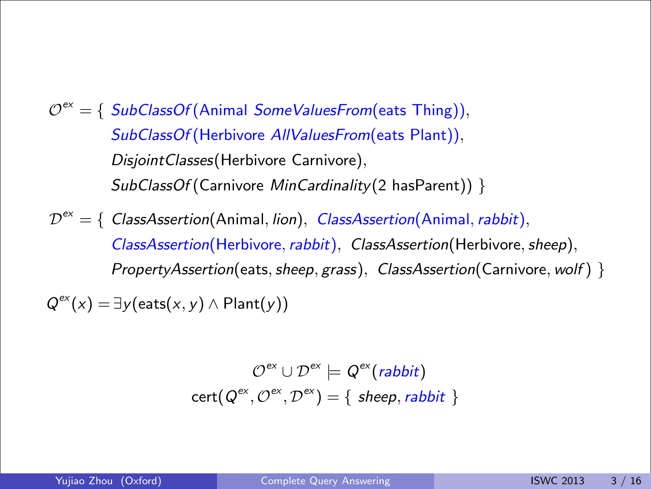- SubClassOf (Herbivore AllValuesFrom(eats Plant)), DisjointClasses(Herbivore Carnivore),  $SubClassOf (Carnivore *MinCardinality*(2 hasParent))$  }  $\mathcal{O}^\textsf{ex} = \{ \ \mathit{SubClassOf}(\textsf{Animal SomeValuesFrom}(\textsf{eats Thinking})),$
- $\mathcal{D}^{\text{ex}} = \{\text{ } \textit{ClassA} \text{ssertion} \text{(Animal, } \textit{lion}\text{), } \textit{ClassA} \text{ssertion} \text{(Animal, } \textit{rabbit}\text{), }$ ClassAssertion(Herbivore, rabbit), ClassAssertion(Herbivore, sheep),  $PropertyAssertion(eats, sheep, grass), ClassAssertion(Carnivore, wolf)$

$$
Q^{\text{ex}}(x) = \exists y (\text{eats}(x, y) \land \text{Plant}(y))
$$

$$
\mathcal{O}^{ex} \cup \mathcal{D}^{ex} \models Q^{ex}(rabbit)
$$
  
cert( $Q^{ex}, Q^{ex}, D^{ex}) = \{ \text{ sheep, rabbit } \}$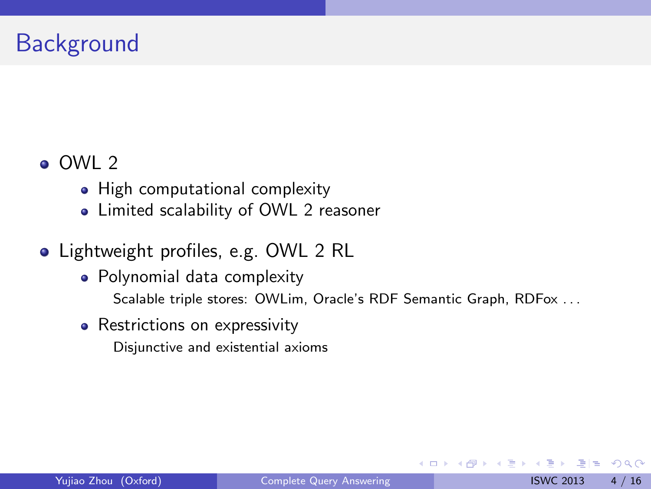### **Background**

#### OWL 2

- High computational complexity
- Limited scalability of OWL 2 reasoner

### • Lightweight profiles, e.g. OWL 2 RL

- Polynomial data complexity Scalable triple stores: OWLim, Oracle's RDF Semantic Graph, RDFox ...
- Restrictions on expressivity

Disjunctive and existential axioms

 $F = \Omega Q$ 

化重新润滑脂

4 0 8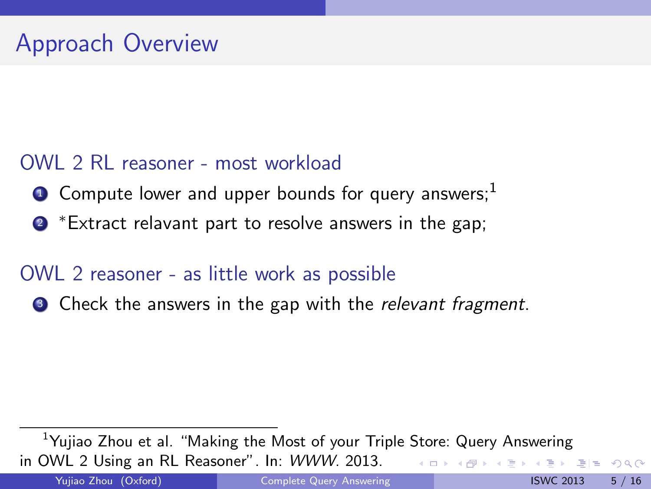### OWL 2 RL reasoner - most workload

- $\bullet$  Compute lower and upper bounds for query answers;<sup>1</sup>
- ? <sup>∗</sup>Extract relavant part to resolve answers in the gap;

#### OWL 2 reasoner - as little work as possible

**3** Check the answers in the gap with the relevant fragment.

<span id="page-6-0"></span> $<sup>1</sup>$ Yujiao Zhou et al. "Making the Most of your Triple Store: Query Answering</sup> in OWL 2 Using an RL Reasoner". In: WWW. 2013. KED KARD KED KED EN AGA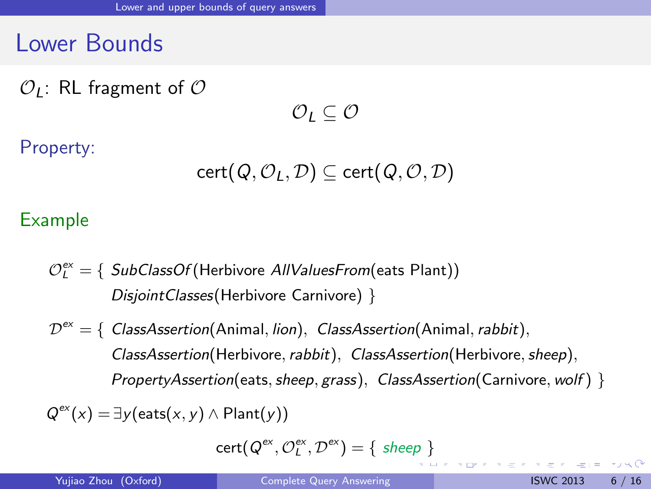### Lower Bounds

 $\mathcal{O}_I$ : RL fragment of  $\mathcal O$ 

 $\mathcal{O}_I \subseteq \mathcal{O}$ 

Property:

$$
\mathsf{cert}(\mathsf{Q}, \mathcal{O}_L, \mathcal{D}) \subseteq \mathsf{cert}(\mathsf{Q}, \mathcal{O}, \mathcal{D})
$$

#### Example

- $\mathcal{O}_L^{\mathsf{ex}}=\{\ \mathit{SubClassOf}(\mathsf{Herbivore} \ \mathit{AllValuesFrom}(\mathsf{eats} \ \mathsf{Plant}))$ DisjointClasses(Herbivore Carnivore) }
- $\mathcal{D}^\text{ex} = \{\text{ } \textit{ClassA} \text{s} \text{section} \text{(Animal, } \textit{lion}), \text{ } \textit{ClassA} \text{s} \text{section} \text{(Animal, } \textit{rabbit}),$ ClassAssertion(Herbivore, rabbit), ClassAssertion(Herbivore, sheep),  $PropertyA$ ssertion(eats, sheep, grass), ClassAssertion(Carnivore, wolf) }

 $Q^{ex}(x) = \exists y$ (eats $(x, y) \wedge$ Plant $(y)$ )

<span id="page-7-0"></span> $cert(Q^{ex}, \mathcal{O}_L^{ex}, \mathcal{D}^{ex}) = \{ \; sheep \; \}$  $cert(Q^{ex}, \mathcal{O}_L^{ex}, \mathcal{D}^{ex}) = \{ \; sheep \; \}$  $cert(Q^{ex}, \mathcal{O}_L^{ex}, \mathcal{D}^{ex}) = \{ \; sheep \; \}$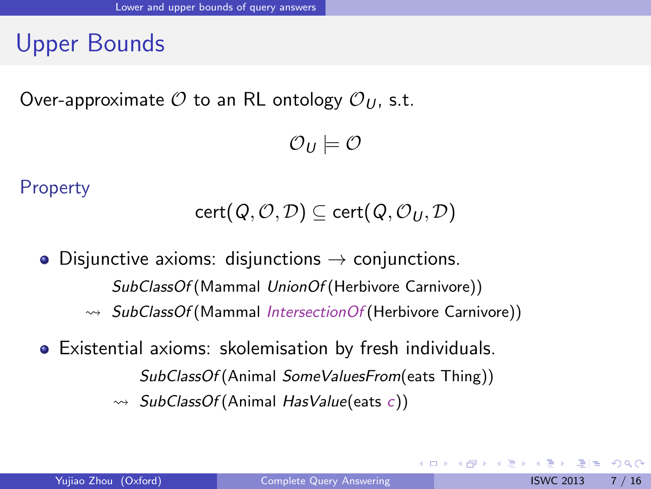### Upper Bounds

Over-approximate  $\mathcal O$  to an RL ontology  $\mathcal O_U$ , s.t.

 $\mathcal{O}_U \models \mathcal{O}$ 

**Property** 

$$
\mathsf{cert}(\mathsf{Q}, \mathcal{O}, \mathcal{D}) \subseteq \mathsf{cert}(\mathsf{Q}, \mathcal{O}_U, \mathcal{D})
$$

• Disjunctive axioms: disjunctions  $\rightarrow$  conjunctions. SubClassOf (Mammal UnionOf (Herbivore Carnivore))  $\rightarrow$  SubClassOf (Mammal IntersectionOf (Herbivore Carnivore))

Existential axioms: skolemisation by fresh individuals. SubClassOf (Animal SomeValuesFrom(eats Thing))  $\rightarrow$  SubClassOf (Animal HasValue(eats c))

4 0 8

<span id="page-8-0"></span> $\overline{AB}$  )  $\overline{AB}$  )  $\overline{AB}$  )  $\overline{AB}$  )  $\overline{AB}$  )  $\overline{AB}$  )  $\overline{AB}$  )  $\overline{AB}$  )  $\overline{AB}$  )  $\overline{AB}$  )  $\overline{AB}$  )  $\overline{AB}$  )  $\overline{AB}$  )  $\overline{AB}$  )  $\overline{AB}$  )  $\overline{AB}$  )  $\overline{AB}$  )  $\overline{AB}$   $\overline{BC}$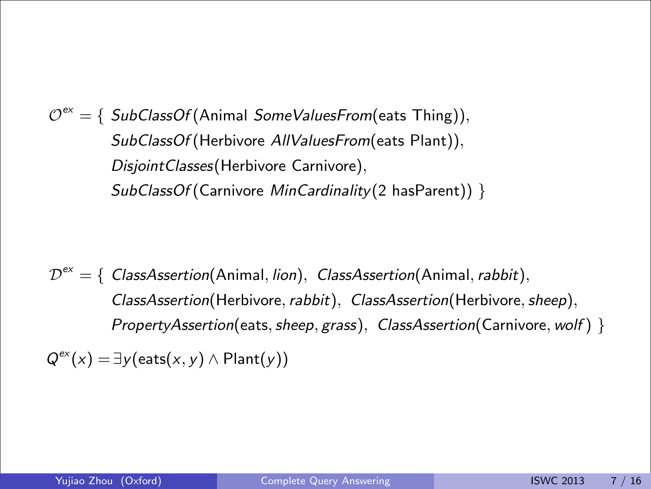$\mathcal{O}^\textsf{ex} = \{ \ \mathit{SubClassOf}(\textsf{Animal SomeValuesFrom}(\textsf{eats Thing})),$  $\textit{SubClassOf}(\text{Herbivore} \textit{ AllValuesFrom}(\textsf{eats Plant})),$ DisjointClasses(Herbivore Carnivore), SubClassOf (Carnivore MinCardinality (2 hasParent)) }

 $\mathcal{D}^{\text{ex}} = \{ \textit{ ClassA} \textit{ssertion}(\textit{Animal}, \textit{lion}), \textit{ ClassA} \textit{ssertion}(\textit{Animal}, \textit{rabbit}),$  $\mathcal{S}_{\mathcal{L}}$  (Apple Carnivore)) of  $\mathcal{S}_{\mathcal{L}}$  (Herbivore)) ClassAssertion(Herbivore, rabbit), ClassAssertion(Herbivore, sheep),<br>ClassAssertion(Herbivore, rabbit), ClassAssertion(Herbivore, sheep), PropertyAssertion(eats, sheep, grass), ClassAssertion(Carnivore, wolf) }

<span id="page-9-0"></span> $\mathsf{Q}^\textsf{ex}(x) = \exists \mathsf{y}(\textsf{eats}(x,y) \land \mathsf{Plant}(y))$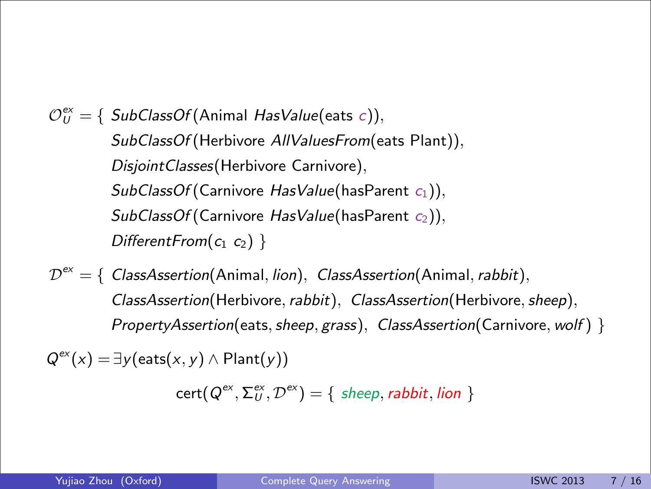$\mathcal{O}_U^{\mathrm{ex}}=\{$  SubClassOf(Animal HasValue(eats  $\in$  )),  $\textit{SubClassOf}(\text{Herbivore} \textit{ AllValuesFrom}(\textsf{eats Plant})),$  $SubClassOf(Carnivore$   $HasValue(hasParent \ c_2)),$ DisjointClasses(Herbivore Carnivore),  $SubClassOf(Carnivore HasValue(hasParent c<sub>1</sub>)),$ DifferentFrom( $c_1$   $c_2$ ) }

Disjunctive axioms: disjunctions → conjunctions.  $\mathcal{D}^{\text{ex}} = \{ \text{ } ClassAssociation(\text{Animal}, \text{lion}), \text{ } ClassAssociation(\text{Animal}, \text{rabbit}), \text{ }$ ClassAssertion(Herbivore, rabbit), ClassAssertion(Herbivore, sheep),<br>ClassAssertion(Herbivore, rabbit), ClassAssertion(Herbivore, sheep), PropertyAssertion(eats, sheep, grass), ClassAssertion(Carnivore, wolf) }

 $\mathsf{Q}^\textsf{ex}(x) = \exists \mathsf{y}(\textsf{eats}(x,y) \land \mathsf{Plant}(y))$ 

<span id="page-10-0"></span> $\textsf{cert}(\mathsf{Q}^{\textsf{ex}},\mathsf{\Sigma}^{\textsf{ex}}_{\mathsf{U}},\mathcal{D}^{\textsf{ex}})=\{\textit{ sheep},\textit{rabbit},\textit{lion}\ \}$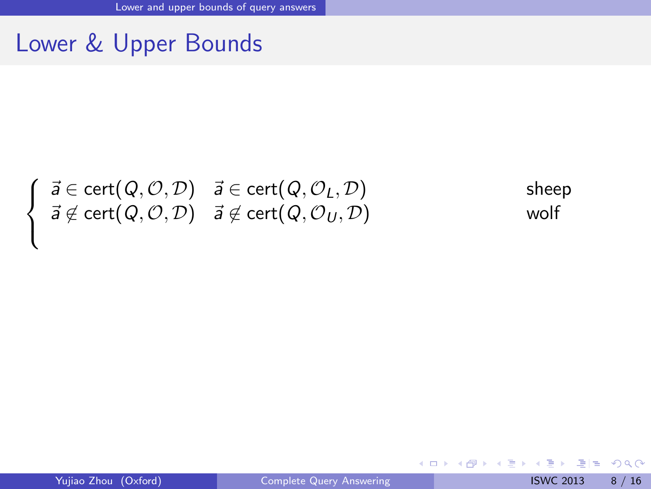### Lower & Upper Bounds

$$
\begin{cases}\n\vec{a} \in \text{cert}(Q, O, D) & \vec{a} \in \text{cert}(Q, O_L, D) \\
\vec{a} \notin \text{cert}(Q, O, D) & \vec{a} \notin \text{cert}(Q, O_U, D) \\
\end{cases} \quad \text{where}
$$

 $\mathcal{L}$ 

<span id="page-11-0"></span>K ロ > K 個 > K ミ > K ミ > (트) = K 9 Q @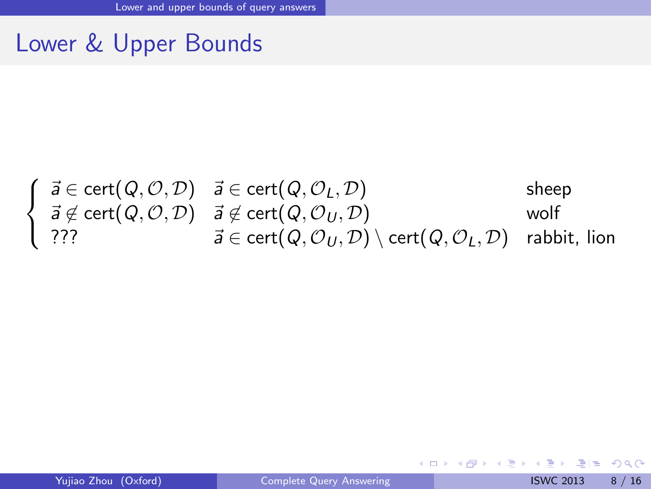### Lower & Upper Bounds

$$
\left\{\begin{array}{lcl} \vec{a} \in \text{cert}(Q, \mathcal{O}, \mathcal{D}) & \vec{a} \in \text{cert}(Q, \mathcal{O}_L, \mathcal{D}) & \text{sheep} \\ \vec{a} \not\in \text{cert}(Q, \mathcal{O}, \mathcal{D}) & \vec{a} \not\in \text{cert}(Q, \mathcal{O}_U, \mathcal{D}) & \text{wolf} \\ \text{??} & \vec{a} \in \text{cert}(Q, \mathcal{O}_U, \mathcal{D}) \setminus \text{cert}(Q, \mathcal{O}_L, \mathcal{D}) & \text{rabbit, lion} \end{array}\right.
$$

<span id="page-12-0"></span>K ロ > K 個 > K ミ > K ミ > (트) = K 9 Q @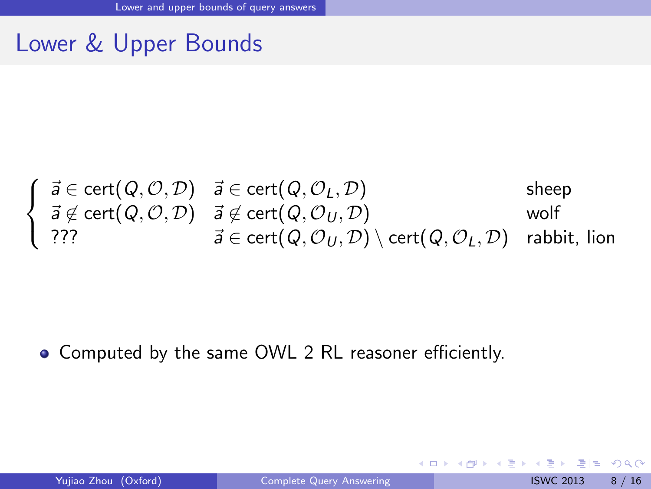### Lower & Upper Bounds

$$
\left\{\begin{array}{lcl} \vec{a} \in \text{cert}(Q, \mathcal{O}, \mathcal{D}) & \vec{a} \in \text{cert}(Q, \mathcal{O}_L, \mathcal{D}) & \text{sheep} \\ \vec{a} \not\in \text{cert}(Q, \mathcal{O}, \mathcal{D}) & \vec{a} \not\in \text{cert}(Q, \mathcal{O}_U, \mathcal{D}) & \text{wolf} \\ \text{??} & \vec{a} \in \text{cert}(Q, \mathcal{O}_U, \mathcal{D}) \setminus \text{cert}(Q, \mathcal{O}_L, \mathcal{D}) & \text{rabbit, lion} \end{array}\right.
$$

#### • Computed by the same OWL 2 RL reasoner efficiently.

**← ロ ▶ → イ 同** 

<span id="page-13-0"></span> $E|E$   $\Omega$ 

化重新润滑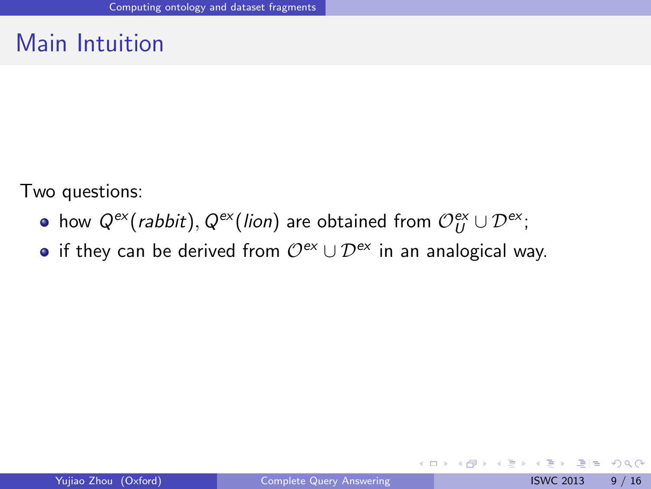### Main Intuition

Two questions:

- how  $Q^{\text{ex}}$ (*rabbit*),  $Q^{\text{ex}}$ (*lion*) are obtained from  $\mathcal{O}_U^{\text{ex}} \cup \mathcal{D}^{\text{ex}}$ ;
- if they can be derived from  $\mathcal{O}^{ex} \cup \mathcal{D}^{ex}$  in an analogical way.

4 日下

<span id="page-14-0"></span> $F = \Omega Q$ 

医单位 医单位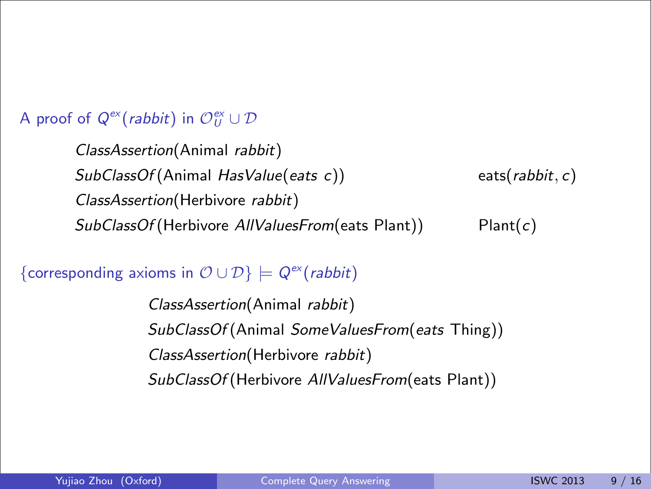#### A proof of  $Q^{\text{ex}}(\textit{rabbit})$  in  $\mathcal{O}_U^{\text{ex}}\cup \mathcal{D}$

ClassAssertion(Herbivore rabbit) SubClassOf (Herbivore AllValuesFrom (eats Plant)) Plant(c)  $Plant(c)$ ClassAssertion(Animal rabbit)  $SubClassOf(Animal HasValue(eats c))$  eats(rabbit, c)

{corresponding axioms in  $\mathcal{O} \cup \mathcal{D}$ }  $\models Q^{ex}(rabbit)$ 

<span id="page-15-0"></span>ClassAssertion(Animal rabbit) SubClassOf (Animal SomeValuesFrom(eats Thing)) ClassAssertion(Herbivore rabbit) SubClassOf (Herbivore AllValuesFrom(eats Plant))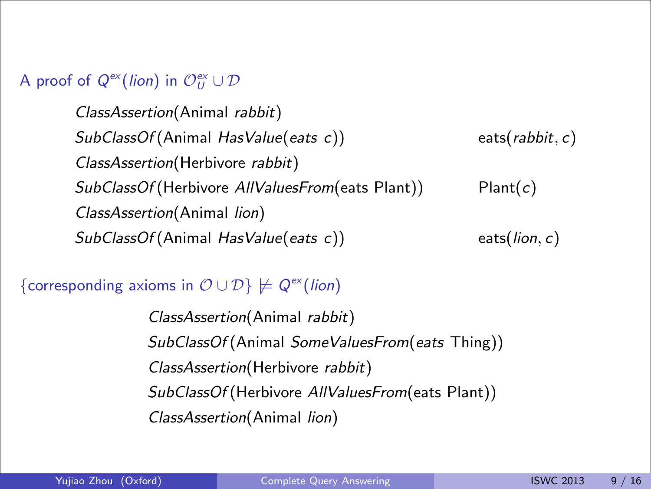#### A proof of  $Q^{\text{ex}}(\text{lion})$  in  $\mathcal{O}_U^{\text{ex}} \cup \mathcal{D}$

 $\mathit{SubClassOf}(\mathsf{Herbivore}~AllValuesFrom(\mathsf{eats}~\mathsf{Plant}))$  Plant $(c)$ *ClassAssertion*(Animal *lion*)<br>2002: Are obtained from Oex eats( $\mathit{lion}, c$ ) SubClassOf (Animal *HasValue(eats c)*) eats(*lion, c*) ClassAssertion(Animal rabbit)  $SubClassOf(Animal HasValue(eats c))$  eats(rabbit, c) ClassAssertion(Herbivore rabbit)

{corresponding axioms in  $\mathcal{O} \cup \mathcal{D}$ }  $\not\models Q^{\text{ex}}(\text{lion})$ 

<span id="page-16-0"></span>ClassAssertion(Animal rabbit) SubClassOf (Animal SomeValuesFrom(eats Thing)) ClassAssertion(Herbivore rabbit) SubClassOf (Herbivore AllValuesFrom(eats Plant)) ClassAssertion(Animal lion)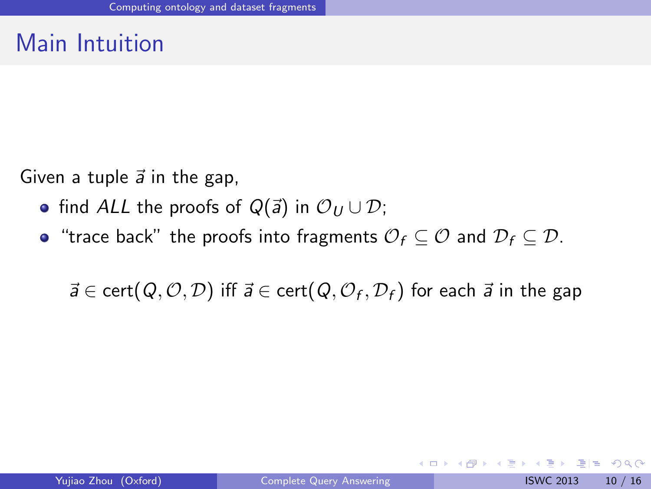### Main Intuition

Given a tuple  $\vec{a}$  in the gap,

- find ALL the proofs of  $Q(\vec{a})$  in  $\mathcal{O}_U \cup \mathcal{D}$ ;
- "trace back" the proofs into fragments  $\mathcal{O}_f \subset \mathcal{O}$  and  $\mathcal{D}_f \subset \mathcal{D}$ .

 $\vec{a} \in \text{cert}(Q, O, D)$  iff  $\vec{a} \in \text{cert}(Q, O_f, D_f)$  for each  $\vec{a}$  in the gap

<span id="page-17-0"></span>4 0 8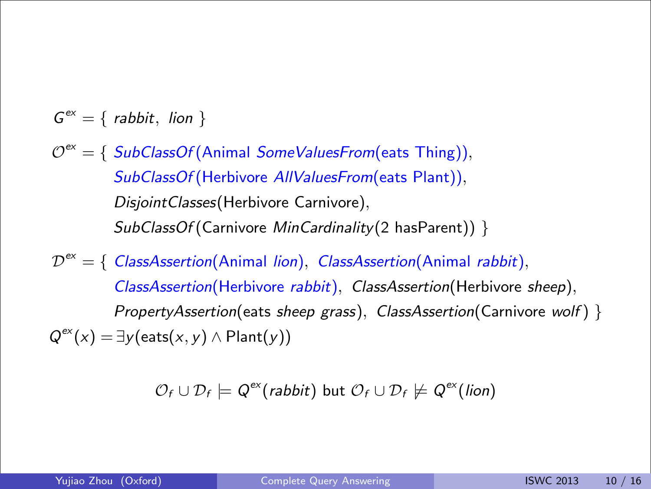- $G^{ex} = \{$  rabbit, lion  $\}$
- SubClassOf (Herbivore AllValuesFrom(eats Plant)), *DisjointClasses*(Herbivore Carnivore),  $\mathit{SubClassOf}(\mathsf{Carnivore}~\mathit{MinCardinality}(2~\text{hasParent}))\; \}$  $\mathcal{O}^\textsf{ex} = \{ \ \mathit{SubClassOf}(\textsf{Animal SomeValuesFrom}(\textsf{eats} \ \textsf{Things})),$ 
	- $\emph{ClassAssertion}$ (Herbivore *rabbit*), *ClassAssertion*(Herbivore *sheep*),  $\mathcal{D}^\text{ex} = \{\text{ } \textit{ClassA} \text{s} \text{action} (\text{Animal } \textit{lion}), \text{ } \textit{ClassA} \text{s} \text{section} (\text{Animal } \textit{rabbit}),$ PropertyAssertion(eats sheep grass), ClassAssertion(Carnivore wolf) }  $Q^{ex}(x) = \exists y$ (eats $(x, y) \wedge$ Plant $(y)$ )

<span id="page-18-0"></span>
$$
\mathcal{O}_f \cup \mathcal{D}_f \models Q^{ex}(\text{rabbit}) \text{ but } \mathcal{O}_f \cup \mathcal{D}_f \not\models Q^{ex}(\text{lion})
$$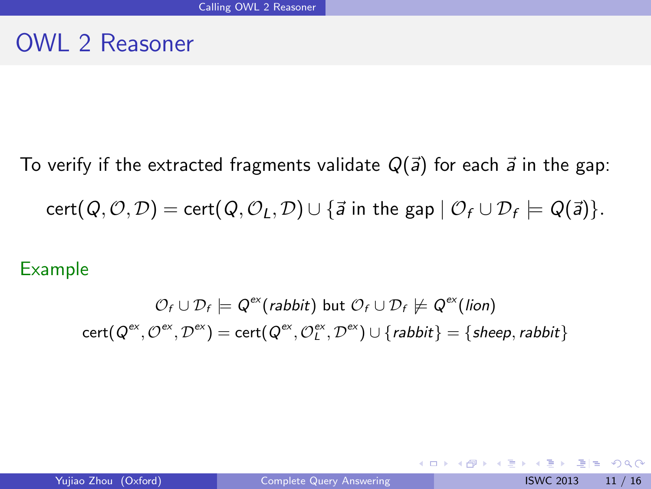### OWL 2 Reasoner

To verify if the extracted fragments validate  $Q(\vec{a})$  for each  $\vec{a}$  in the gap:  $\mathsf{cert}(\mathsf{Q}, \mathcal{O}, \mathcal{D}) = \mathsf{cert}(\mathsf{Q}, \mathcal{O}_L, \mathcal{D}) \cup \{\vec{a} \text{ in the gap }|\; \mathcal{O}_f \cup \mathcal{D}_f \models \mathsf{Q}(\vec{a})\}.$ 

#### Example

$$
\mathcal{O}_f \cup \mathcal{D}_f \models Q^{ex}(\textit{rabbit}) \text{ but } \mathcal{O}_f \cup \mathcal{D}_f \not\models Q^{ex}(\textit{lion})
$$
  
cert $(Q^{ex}, Q^{ex}, \mathcal{D}^{ex}) = \text{cert}(Q^{ex}, Q_L^{ex}, \mathcal{D}^{ex}) \cup \{\textit{rabbit}\} = \{\textit{sheep}, \textit{rabbit}\}\$ 

<span id="page-19-0"></span>K □ ▶ K 何 ▶ K 글 ▶ K 글 ▶ [글] 는 K) Q (^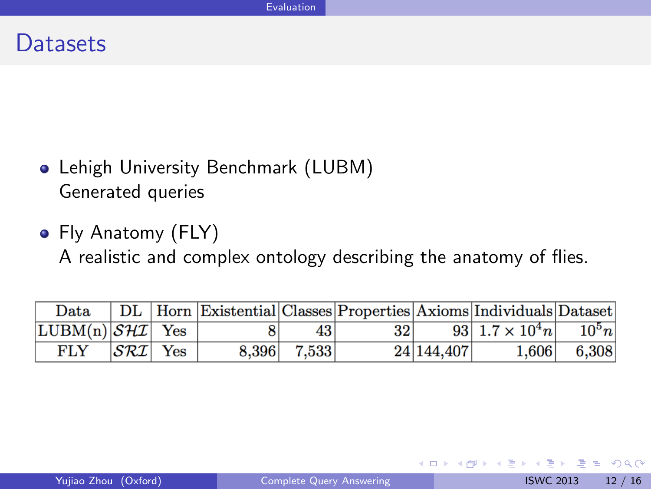#### **Datasets**

- Lehigh University Benchmark (LUBM) Generated queries
- Fly Anatomy (FLY) A realistic and complex ontology describing the anatomy of flies.

| Data                         |  |             |                 |            | DL   Horn   Existential   Classes   Properties   Axioms   Individuals   Dataset |             |
|------------------------------|--|-------------|-----------------|------------|---------------------------------------------------------------------------------|-------------|
| $LUBM(n) \mathcal{SHI} $ Yes |  | 431         | 32 <sup>1</sup> |            | 93 $1.7 \times 10^4 n$ $10^5 n$                                                 |             |
| $FLY$ $ \mathcal{SRI} $ Yes  |  | 8.396 7.533 |                 | 24 144,407 |                                                                                 | 1,606 6,308 |

4 日下

<span id="page-20-0"></span> $F = \Omega$ 

化重复 化重变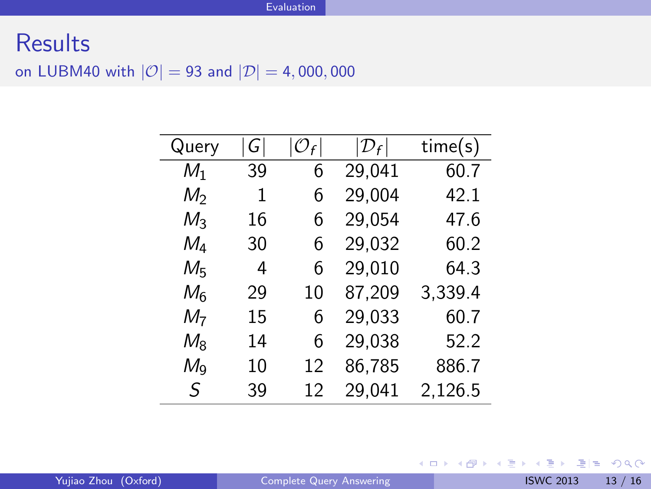### **Results** on LUBM40 with  $|\mathcal{O}| = 93$  and  $|\mathcal{D}| = 4,000,000$

| Query          | G  |    | $ \mathcal{D}_f $ | time(s) |
|----------------|----|----|-------------------|---------|
| $M_1$          | 39 | 6  | 29,041            | 60.7    |
| M <sub>2</sub> | 1  | 6  | 29,004            | 42.1    |
| $M_3$          | 16 | 6  | 29,054            | 47.6    |
| $M_4$          | 30 | 6  | 29,032            | 60.2    |
| $M_5$          | 4  | 6  | 29,010            | 64.3    |
| $M_6$          | 29 | 10 | 87,209            | 3,339.4 |
| M7             | 15 | 6  | 29,033            | 60.7    |
| $M_{8}$        | 14 | 6  | 29,038            | 52.2    |
| $M_{\rm Q}$    | 10 | 12 | 86,785            | 886.7   |
| S              | 39 | 12 | 29,041            | 2,126.5 |
|                |    |    |                   |         |

<span id="page-21-0"></span>K ロ > K 個 > K ミ > K ミ > (트) = K 9 Q @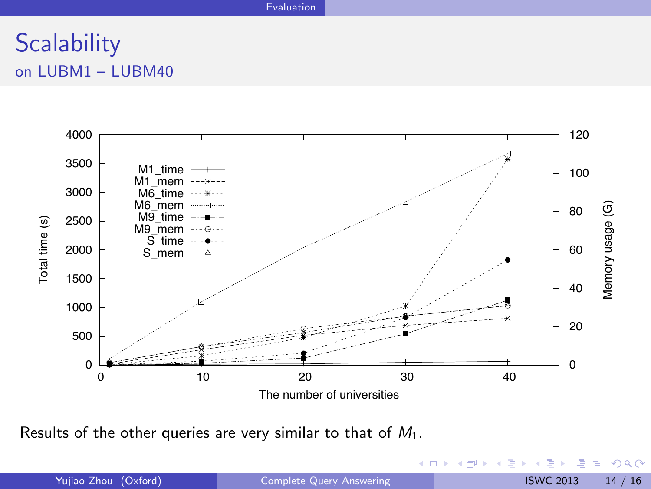#### **[Evaluation](#page-22-0)**

### **Scalability** on LUBM1 – LUBM40



Results of the other queries are very similar to that of  $M_1$ .

◆ ロ → → 伊

 $\rightarrow$ 

<span id="page-22-0"></span> $F = \Omega Q$ 

医单位 医单位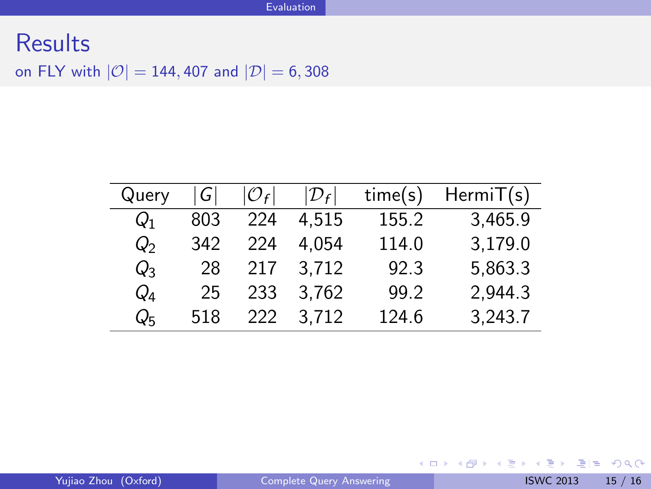### **Results** on FLY with  $|O| = 144,407$  and  $|D| = 6,308$

| Query           | $\mathsf{G}_1$ | $ {\cal O}_f $ | $ \mathcal{D}_f $ | time(s) | HermiT(s) |
|-----------------|----------------|----------------|-------------------|---------|-----------|
| $\mathcal{Q}_1$ | 803            | 224            | 4.515             | 155.2   | 3,465.9   |
| $Q_2$           | 342            | 224            | 4.054             | 114.0   | 3,179.0   |
| $Q_3$           | 28             | 217            | 3.712             | 92.3    | 5,863.3   |
| $Q_4$           | 25             | 233            | 3.762             | 99.2    | 2,944.3   |
| Qr              | 518            | 222            | 3.712             | 124.6   | 3,243.7   |

<span id="page-23-0"></span>K ロ > K 個 > K ミ > K ミ > (트) = K 9 Q @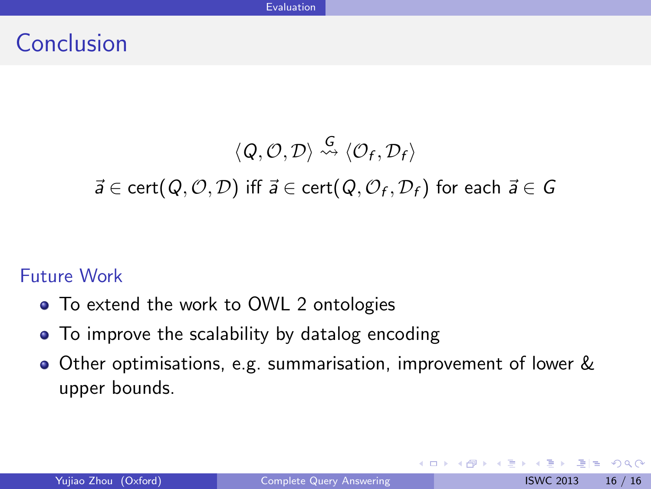### Conclusion

$$
\langle Q, \mathcal{O}, \mathcal{D} \rangle \stackrel{G}{\rightsquigarrow} \langle \mathcal{O}_f, \mathcal{D}_f \rangle
$$

 $\vec{a} \in \text{cert}(Q, O, D)$  iff  $\vec{a} \in \text{cert}(Q, O_f, D_f)$  for each  $\vec{a} \in G$ 

#### Future Work

- To extend the work to OWL 2 ontologies
- To improve the scalability by datalog encoding
- Other optimisations, e.g. summarisation, improvement of lower & upper bounds.

4 0 8

3 E X 3 E

<span id="page-24-0"></span> $E|E \cap Q$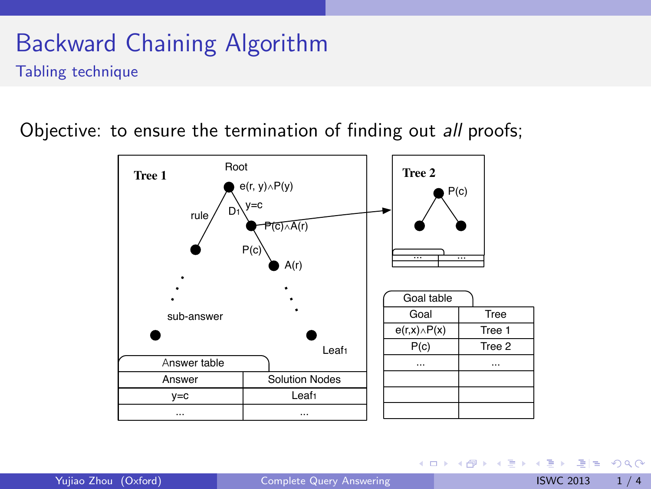### Backward Chaining Algorithm Tabling technique

Objective: to ensure the termination of finding out all proofs;



KED KARD KED KED EN AGA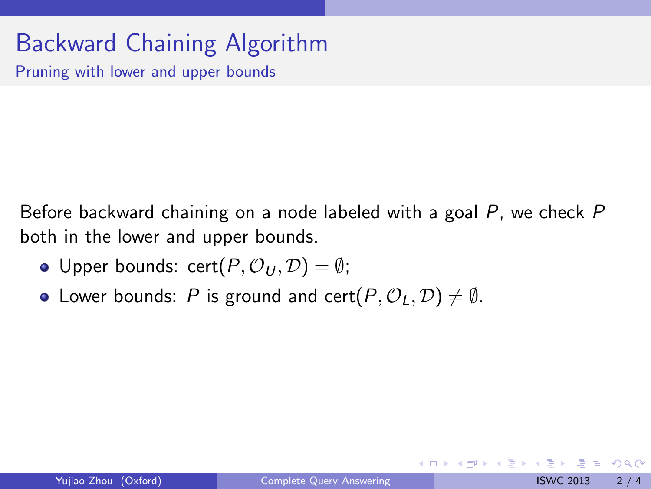# Backward Chaining Algorithm

Pruning with lower and upper bounds

Before backward chaining on a node labeled with a goal P, we check P both in the lower and upper bounds.

- Upper bounds: cert $(P, \mathcal{O}_U, \mathcal{D}) = \emptyset$ ;
- Lower bounds: P is ground and cert $(P, \mathcal{O}_1, \mathcal{D}) \neq \emptyset$ .

4 0 8

 $E|E$   $\Omega$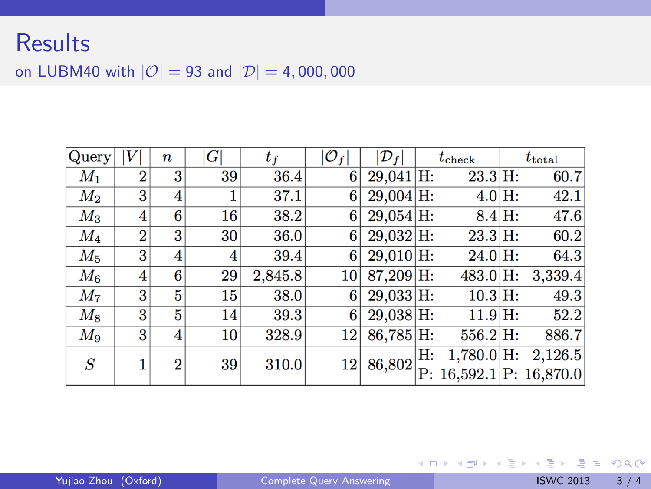### **Results**

on LUBM40 with  $|\mathcal{O}| = 93$  and  $|\mathcal{D}| = 4,000,000$ 

| Query   |                | $\boldsymbol{n}$ | G               | $t_f$   | $ \mathcal{O}_f $ | $ \mathcal{D}_f $ |    | $t_{\rm check}$ | $t_{\mathrm{total}}$          |
|---------|----------------|------------------|-----------------|---------|-------------------|-------------------|----|-----------------|-------------------------------|
| $M_{1}$ | $\overline{2}$ | 3                | 39              | 36.4    | 6                 | $29,041$ H:       |    | 23.3 H:         | 60.7                          |
| $\ M_2$ | 3              | 4                |                 | 37.1    | 6                 | $29,004$ H:       |    | $4.0$ H:        | 42.1                          |
| $M_3$   | 4              | 6                | 16              | 38.2    | 6                 | $29.054$ H:       |    | 8.4 H:          | 47.6                          |
| $M_{4}$ | $\overline{2}$ | 3                | 30 <sup>°</sup> | 36.0    | 6                 | $29.032$ H:       |    | 23.3 H:         | 60.2                          |
| $M_5$   | 3              | 4                | 4               | 39.4    | 6                 | $29,010$ H:       |    | $24.0$ H:       | 64.3                          |
| $\,M_6$ | 4              | 6                | 29              | 2,845.8 | 10                | $87.209$ H:       |    | $483.0$ H:      | 3,339.4                       |
| $M_7$   | 3              | 5                | 15 <sup>1</sup> | 38.0    | 6                 | $29.033$ H:       |    | $10.3$ H:       | 49.3                          |
| $M_8$   | 3              | 5                | 14              | 39.3    | 6                 | $29.038$ H:       |    | 11.9 H:         | 52.2                          |
| $M_9$   | 3              | 4                | 10 <sup>1</sup> | 328.9   | 12                | $86,785$ H:       |    | $556.2$ H:      | 886.7                         |
| S       |                | $\overline{2}$   | 39              | 310.0   | 12                | 86,802            | Н: | $1,780.0$ H:    | 2,126.5                       |
|         |                |                  |                 |         |                   |                   |    |                 | $P: 16,592.1$ $ P: 16,870.0 $ |

K ロ > K @ > K 할 > K 할 > [ 할 > 10 Q Q Q